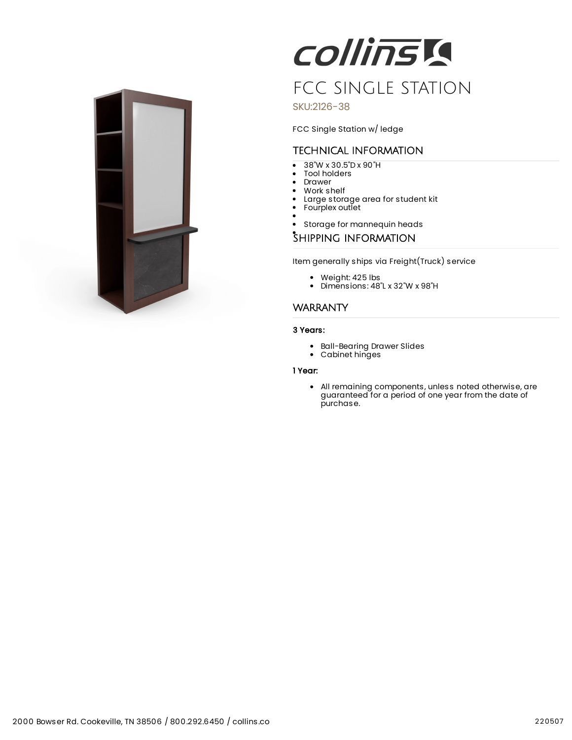

**COllinsia** FCC SINGLE STATION

SKU:2126-38

FCC Single Station w/ ledge

# TECHNICAL INFORMATION

- $\overline{\bullet}$ 38"W x 30.5"D x 90"H
- Tool holders
- Drawer  $\bullet$ Work shelf
- Large storage area for student kit
- Fourplex outlet
- 
- $\bullet$ Storage for mannequin heads

### SHIPPING INFORMATION

Item generally ships via Freight(Truck) service

- Weight: 425 lbs
- Dimensions: 48"L x 32"W x 98"H

### **WARRANTY**

#### 3 Years:

- Ball-Bearing Drawer Slides
- Cabinet hinges

## 1 Year:

All remaining components, unless noted otherwise, are guaranteed for a period of one year from the date of purchase.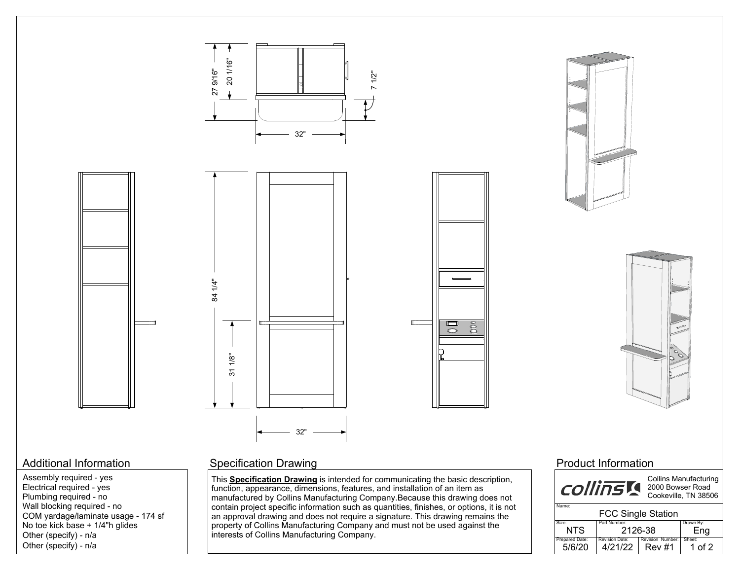